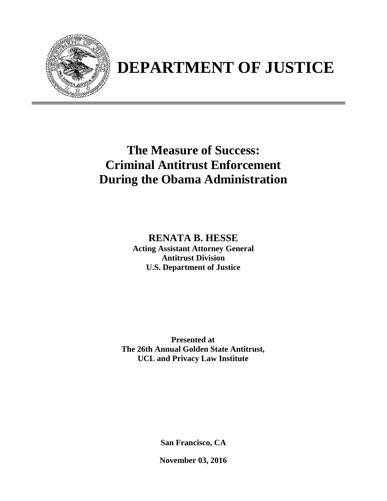

## **DEPARTMENT OF JUSTICE**

## **The Measure of Success: Criminal Antitrust Enforcement During the Obama Administration**

**RENATA B. HESSE Acting Assistant Attorney General Antitrust Division U.S. Department of Justice** 

**Presented at The 26th Annual Golden State Antitrust, UCL and Privacy Law Institute** 

**San Francisco, CA** 

**November 03, 2016**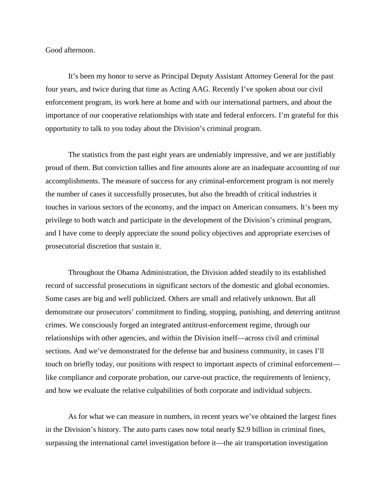Good afternoon.

It's been my honor to serve as Principal Deputy Assistant Attorney General for the past four years, and twice during that time as Acting AAG. Recently I've spoken about our civil enforcement program, its work here at home and with our international partners, and about the importance of our cooperative relationships with state and federal enforcers. I'm grateful for this opportunity to talk to you today about the Division's criminal program.

The statistics from the past eight years are undeniably impressive, and we are justifiably proud of them. But conviction tallies and fine amounts alone are an inadequate accounting of our accomplishments. The measure of success for any criminal-enforcement program is not merely the number of cases it successfully prosecutes, but also the breadth of critical industries it touches in various sectors of the economy, and the impact on American consumers. It's been my privilege to both watch and participate in the development of the Division's criminal program, and I have come to deeply appreciate the sound policy objectives and appropriate exercises of prosecutorial discretion that sustain it.

Throughout the Obama Administration, the Division added steadily to its established record of successful prosecutions in significant sectors of the domestic and global economies. Some cases are big and well publicized. Others are small and relatively unknown. But all demonstrate our prosecutors' commitment to finding, stopping, punishing, and deterring antitrust crimes. We consciously forged an integrated antitrust-enforcement regime, through our relationships with other agencies, and within the Division itself—across civil and criminal sections. And we've demonstrated for the defense bar and business community, in cases I'll touch on briefly today, our positions with respect to important aspects of criminal enforcement like compliance and corporate probation, our carve-out practice, the requirements of leniency, and how we evaluate the relative culpabilities of both corporate and individual subjects.

As for what we can measure in numbers, in recent years we've obtained the largest fines in the Division's history. The auto parts cases now total nearly \$2.9 billion in criminal fines, surpassing the international cartel investigation before it—the air transportation investigation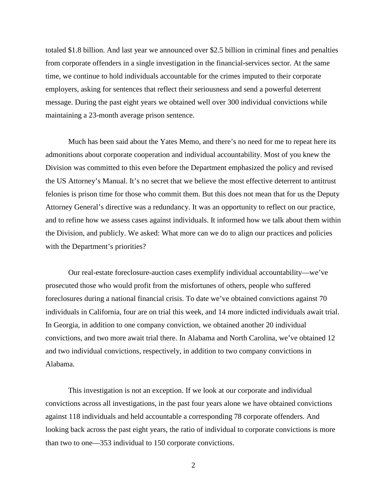totaled \$1.8 billion. And last year we announced over \$2.5 billion in criminal fines and penalties from corporate offenders in a single investigation in the financial-services sector. At the same time, we continue to hold individuals accountable for the crimes imputed to their corporate employers, asking for sentences that reflect their seriousness and send a powerful deterrent message. During the past eight years we obtained well over 300 individual convictions while maintaining a 23-month average prison sentence.

Much has been said about the Yates Memo, and there's no need for me to repeat here its admonitions about corporate cooperation and individual accountability. Most of you knew the Division was committed to this even before the Department emphasized the policy and revised the US Attorney's Manual. It's no secret that we believe the most effective deterrent to antitrust felonies is prison time for those who commit them. But this does not mean that for us the Deputy Attorney General's directive was a redundancy. It was an opportunity to reflect on our practice, and to refine how we assess cases against individuals. It informed how we talk about them within the Division, and publicly. We asked: What more can we do to align our practices and policies with the Department's priorities?

Our real-estate foreclosure-auction cases exemplify individual accountability—we've prosecuted those who would profit from the misfortunes of others, people who suffered foreclosures during a national financial crisis. To date we've obtained convictions against 70 individuals in California, four are on trial this week, and 14 more indicted individuals await trial. In Georgia, in addition to one company conviction, we obtained another 20 individual convictions, and two more await trial there. In Alabama and North Carolina, we've obtained 12 and two individual convictions, respectively, in addition to two company convictions in Alabama.

This investigation is not an exception. If we look at our corporate and individual convictions across all investigations, in the past four years alone we have obtained convictions against 118 individuals and held accountable a corresponding 78 corporate offenders. And looking back across the past eight years, the ratio of individual to corporate convictions is more than two to one—353 individual to 150 corporate convictions.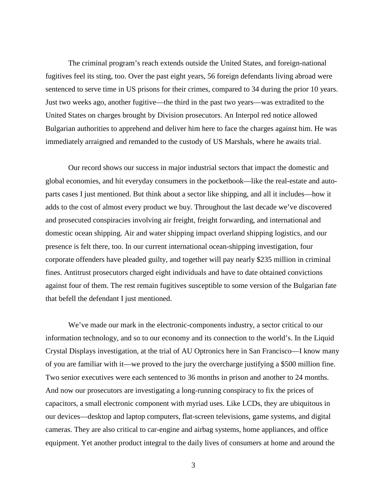The criminal program's reach extends outside the United States, and foreign-national fugitives feel its sting, too. Over the past eight years, 56 foreign defendants living abroad were sentenced to serve time in US prisons for their crimes, compared to 34 during the prior 10 years. Just two weeks ago, another fugitive—the third in the past two years—was extradited to the United States on charges brought by Division prosecutors. An Interpol red notice allowed Bulgarian authorities to apprehend and deliver him here to face the charges against him. He was immediately arraigned and remanded to the custody of US Marshals, where he awaits trial.

Our record shows our success in major industrial sectors that impact the domestic and global economies, and hit everyday consumers in the pocketbook—like the real-estate and autoparts cases I just mentioned. But think about a sector like shipping, and all it includes—how it adds to the cost of almost every product we buy. Throughout the last decade we've discovered and prosecuted conspiracies involving air freight, freight forwarding, and international and domestic ocean shipping. Air and water shipping impact overland shipping logistics, and our presence is felt there, too. In our current international ocean-shipping investigation, four corporate offenders have pleaded guilty, and together will pay nearly \$235 million in criminal fines. Antitrust prosecutors charged eight individuals and have to date obtained convictions against four of them. The rest remain fugitives susceptible to some version of the Bulgarian fate that befell the defendant I just mentioned.

We've made our mark in the electronic-components industry, a sector critical to our information technology, and so to our economy and its connection to the world's. In the Liquid Crystal Displays investigation, at the trial of AU Optronics here in San Francisco—I know many of you are familiar with it—we proved to the jury the overcharge justifying a \$500 million fine. Two senior executives were each sentenced to 36 months in prison and another to 24 months. And now our prosecutors are investigating a long-running conspiracy to fix the prices of capacitors, a small electronic component with myriad uses. Like LCDs, they are ubiquitous in our devices—desktop and laptop computers, flat-screen televisions, game systems, and digital cameras. They are also critical to car-engine and airbag systems, home appliances, and office equipment. Yet another product integral to the daily lives of consumers at home and around the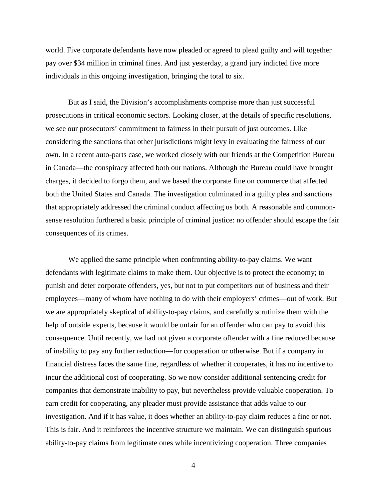world. Five corporate defendants have now pleaded or agreed to plead guilty and will together pay over \$34 million in criminal fines. And just yesterday, a grand jury indicted five more individuals in this ongoing investigation, bringing the total to six.

But as I said, the Division's accomplishments comprise more than just successful prosecutions in critical economic sectors. Looking closer, at the details of specific resolutions, we see our prosecutors' commitment to fairness in their pursuit of just outcomes. Like considering the sanctions that other jurisdictions might levy in evaluating the fairness of our own. In a recent auto-parts case, we worked closely with our friends at the Competition Bureau in Canada—the conspiracy affected both our nations. Although the Bureau could have brought charges, it decided to forgo them, and we based the corporate fine on commerce that affected both the United States and Canada. The investigation culminated in a guilty plea and sanctions that appropriately addressed the criminal conduct affecting us both. A reasonable and commonsense resolution furthered a basic principle of criminal justice: no offender should escape the fair consequences of its crimes.

We applied the same principle when confronting ability-to-pay claims. We want defendants with legitimate claims to make them. Our objective is to protect the economy; to punish and deter corporate offenders, yes, but not to put competitors out of business and their employees—many of whom have nothing to do with their employers' crimes—out of work. But we are appropriately skeptical of ability-to-pay claims, and carefully scrutinize them with the help of outside experts, because it would be unfair for an offender who can pay to avoid this consequence. Until recently, we had not given a corporate offender with a fine reduced because of inability to pay any further reduction—for cooperation or otherwise. But if a company in financial distress faces the same fine, regardless of whether it cooperates, it has no incentive to incur the additional cost of cooperating. So we now consider additional sentencing credit for companies that demonstrate inability to pay, but nevertheless provide valuable cooperation. To earn credit for cooperating, any pleader must provide assistance that adds value to our investigation. And if it has value, it does whether an ability-to-pay claim reduces a fine or not. This is fair. And it reinforces the incentive structure we maintain. We can distinguish spurious ability-to-pay claims from legitimate ones while incentivizing cooperation. Three companies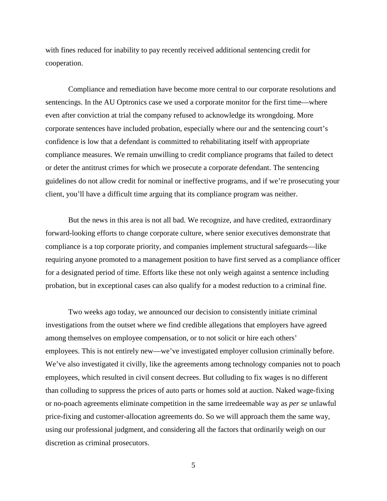with fines reduced for inability to pay recently received additional sentencing credit for cooperation.

Compliance and remediation have become more central to our corporate resolutions and sentencings. In the AU Optronics case we used a corporate monitor for the first time—where even after conviction at trial the company refused to acknowledge its wrongdoing. More corporate sentences have included probation, especially where our and the sentencing court's confidence is low that a defendant is committed to rehabilitating itself with appropriate compliance measures. We remain unwilling to credit compliance programs that failed to detect or deter the antitrust crimes for which we prosecute a corporate defendant. The sentencing guidelines do not allow credit for nominal or ineffective programs, and if we're prosecuting your client, you'll have a difficult time arguing that its compliance program was neither.

But the news in this area is not all bad. We recognize, and have credited, extraordinary forward-looking efforts to change corporate culture, where senior executives demonstrate that compliance is a top corporate priority, and companies implement structural safeguards—like requiring anyone promoted to a management position to have first served as a compliance officer for a designated period of time. Efforts like these not only weigh against a sentence including probation, but in exceptional cases can also qualify for a modest reduction to a criminal fine.

Two weeks ago today, we announced our decision to consistently initiate criminal investigations from the outset where we find credible allegations that employers have agreed among themselves on employee compensation, or to not solicit or hire each others' employees. This is not entirely new—we've investigated employer collusion criminally before. We've also investigated it civilly, like the agreements among technology companies not to poach employees, which resulted in civil consent decrees. But colluding to fix wages is no different than colluding to suppress the prices of auto parts or homes sold at auction. Naked wage-fixing or no-poach agreements eliminate competition in the same irredeemable way as *per se* unlawful price-fixing and customer-allocation agreements do. So we will approach them the same way, using our professional judgment, and considering all the factors that ordinarily weigh on our discretion as criminal prosecutors.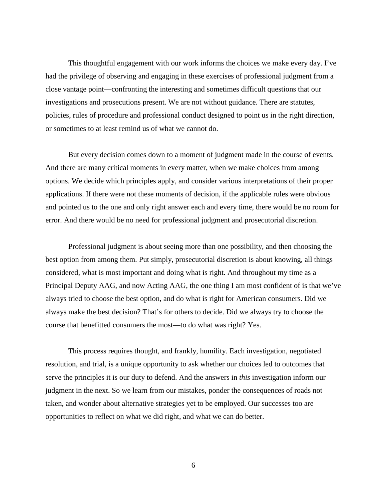This thoughtful engagement with our work informs the choices we make every day. I've had the privilege of observing and engaging in these exercises of professional judgment from a close vantage point—confronting the interesting and sometimes difficult questions that our investigations and prosecutions present. We are not without guidance. There are statutes, policies, rules of procedure and professional conduct designed to point us in the right direction, or sometimes to at least remind us of what we cannot do.

But every decision comes down to a moment of judgment made in the course of events. And there are many critical moments in every matter, when we make choices from among options. We decide which principles apply, and consider various interpretations of their proper applications. If there were not these moments of decision, if the applicable rules were obvious and pointed us to the one and only right answer each and every time, there would be no room for error. And there would be no need for professional judgment and prosecutorial discretion.

Professional judgment is about seeing more than one possibility, and then choosing the best option from among them. Put simply, prosecutorial discretion is about knowing, all things considered, what is most important and doing what is right. And throughout my time as a Principal Deputy AAG, and now Acting AAG, the one thing I am most confident of is that we've always tried to choose the best option, and do what is right for American consumers. Did we always make the best decision? That's for others to decide. Did we always try to choose the course that benefitted consumers the most—to do what was right? Yes.

This process requires thought, and frankly, humility. Each investigation, negotiated resolution, and trial, is a unique opportunity to ask whether our choices led to outcomes that serve the principles it is our duty to defend. And the answers in *this* investigation inform our judgment in the next. So we learn from our mistakes, ponder the consequences of roads not taken, and wonder about alternative strategies yet to be employed. Our successes too are opportunities to reflect on what we did right, and what we can do better.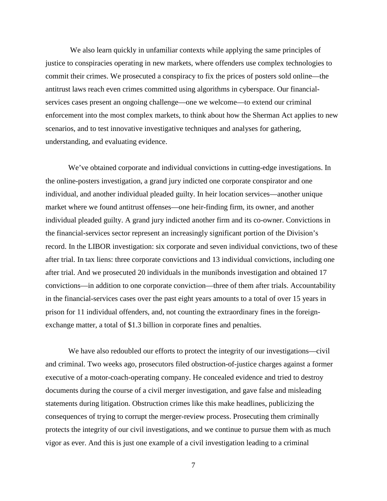We also learn quickly in unfamiliar contexts while applying the same principles of justice to conspiracies operating in new markets, where offenders use complex technologies to commit their crimes. We prosecuted a conspiracy to fix the prices of posters sold online—the antitrust laws reach even crimes committed using algorithms in cyberspace. Our financialservices cases present an ongoing challenge—one we welcome—to extend our criminal enforcement into the most complex markets, to think about how the Sherman Act applies to new scenarios, and to test innovative investigative techniques and analyses for gathering, understanding, and evaluating evidence.

We've obtained corporate and individual convictions in cutting-edge investigations. In the online-posters investigation, a grand jury indicted one corporate conspirator and one individual, and another individual pleaded guilty. In heir location services—another unique market where we found antitrust offenses—one heir-finding firm, its owner, and another individual pleaded guilty. A grand jury indicted another firm and its co-owner. Convictions in the financial-services sector represent an increasingly significant portion of the Division's record. In the LIBOR investigation: six corporate and seven individual convictions, two of these after trial. In tax liens: three corporate convictions and 13 individual convictions, including one after trial. And we prosecuted 20 individuals in the munibonds investigation and obtained 17 convictions—in addition to one corporate conviction—three of them after trials. Accountability in the financial-services cases over the past eight years amounts to a total of over 15 years in prison for 11 individual offenders, and, not counting the extraordinary fines in the foreignexchange matter, a total of \$1.3 billion in corporate fines and penalties.

 We have also redoubled our efforts to protect the integrity of our investigations—civil and criminal. Two weeks ago, prosecutors filed obstruction-of-justice charges against a former executive of a motor-coach-operating company. He concealed evidence and tried to destroy documents during the course of a civil merger investigation, and gave false and misleading statements during litigation. Obstruction crimes like this make headlines, publicizing the consequences of trying to corrupt the merger-review process. Prosecuting them criminally protects the integrity of our civil investigations, and we continue to pursue them with as much vigor as ever. And this is just one example of a civil investigation leading to a criminal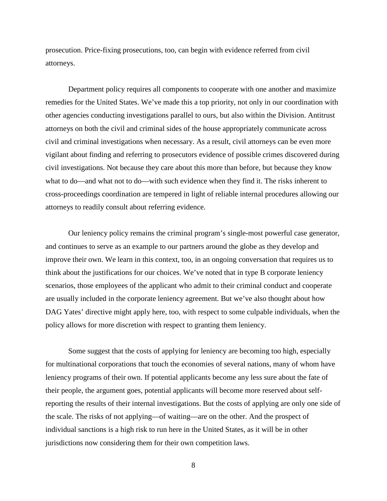prosecution. Price-fixing prosecutions, too, can begin with evidence referred from civil attorneys.

Department policy requires all components to cooperate with one another and maximize remedies for the United States. We've made this a top priority, not only in our coordination with other agencies conducting investigations parallel to ours, but also within the Division. Antitrust attorneys on both the civil and criminal sides of the house appropriately communicate across civil and criminal investigations when necessary. As a result, civil attorneys can be even more vigilant about finding and referring to prosecutors evidence of possible crimes discovered during civil investigations. Not because they care about this more than before, but because they know what to do—and what not to do—with such evidence when they find it. The risks inherent to cross-proceedings coordination are tempered in light of reliable internal procedures allowing our attorneys to readily consult about referring evidence.

Our leniency policy remains the criminal program's single-most powerful case generator, and continues to serve as an example to our partners around the globe as they develop and improve their own. We learn in this context, too, in an ongoing conversation that requires us to think about the justifications for our choices. We've noted that in type B corporate leniency scenarios, those employees of the applicant who admit to their criminal conduct and cooperate are usually included in the corporate leniency agreement. But we've also thought about how DAG Yates' directive might apply here, too, with respect to some culpable individuals, when the policy allows for more discretion with respect to granting them leniency.

Some suggest that the costs of applying for leniency are becoming too high, especially for multinational corporations that touch the economies of several nations, many of whom have leniency programs of their own. If potential applicants become any less sure about the fate of their people, the argument goes, potential applicants will become more reserved about selfreporting the results of their internal investigations. But the costs of applying are only one side of the scale. The risks of not applying—of waiting—are on the other. And the prospect of individual sanctions is a high risk to run here in the United States, as it will be in other jurisdictions now considering them for their own competition laws.